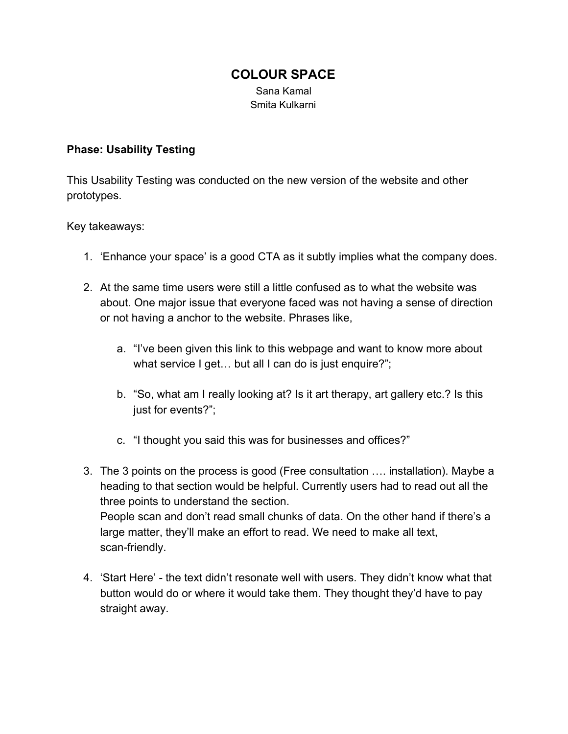## **COLOUR SPACE**

Sana Kamal Smita Kulkarni

## **Phase: Usability Testing**

This Usability Testing was conducted on the new version of the website and other prototypes.

## Key takeaways:

- 1. 'Enhance your space' is a good CTA as it subtly implies what the company does.
- 2. At the same time users were still a little confused as to what the website was about. One major issue that everyone faced was not having a sense of direction or not having a anchor to the website. Phrases like,
	- a. "I've been given this link to this webpage and want to know more about what service I get... but all I can do is just enquire?";
	- b. "So, what am I really looking at? Is it art therapy, art gallery etc.? Is this just for events?";
	- c. "I thought you said this was for businesses and offices?"
- 3. The 3 points on the process is good (Free consultation …. installation). Maybe a heading to that section would be helpful. Currently users had to read out all the three points to understand the section. People scan and don't read small chunks of data. On the other hand if there's a large matter, they'll make an effort to read. We need to make all text, scan-friendly.
- 4. 'Start Here' the text didn't resonate well with users. They didn't know what that button would do or where it would take them. They thought they'd have to pay straight away.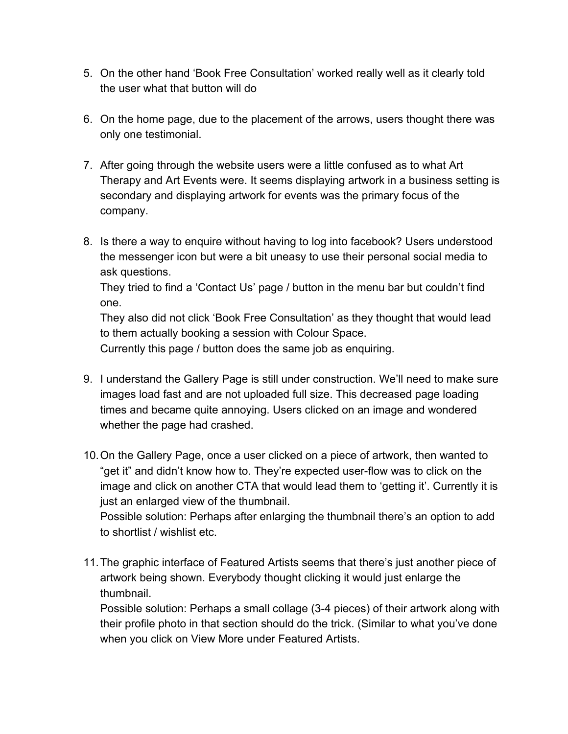- 5. On the other hand 'Book Free Consultation' worked really well as it clearly told the user what that button will do
- 6. On the home page, due to the placement of the arrows, users thought there was only one testimonial.
- 7. After going through the website users were a little confused as to what Art Therapy and Art Events were. It seems displaying artwork in a business setting is secondary and displaying artwork for events was the primary focus of the company.
- 8. Is there a way to enquire without having to log into facebook? Users understood the messenger icon but were a bit uneasy to use their personal social media to ask questions.

They tried to find a 'Contact Us' page / button in the menu bar but couldn't find one.

They also did not click 'Book Free Consultation' as they thought that would lead to them actually booking a session with Colour Space.

Currently this page / button does the same job as enquiring.

- 9. I understand the Gallery Page is still under construction. We'll need to make sure images load fast and are not uploaded full size. This decreased page loading times and became quite annoying. Users clicked on an image and wondered whether the page had crashed.
- 10.On the Gallery Page, once a user clicked on a piece of artwork, then wanted to "get it" and didn't know how to. They're expected user-flow was to click on the image and click on another CTA that would lead them to 'getting it'. Currently it is just an enlarged view of the thumbnail.

Possible solution: Perhaps after enlarging the thumbnail there's an option to add to shortlist / wishlist etc.

11.The graphic interface of Featured Artists seems that there's just another piece of artwork being shown. Everybody thought clicking it would just enlarge the thumbnail.

Possible solution: Perhaps a small collage (3-4 pieces) of their artwork along with their profile photo in that section should do the trick. (Similar to what you've done when you click on View More under Featured Artists.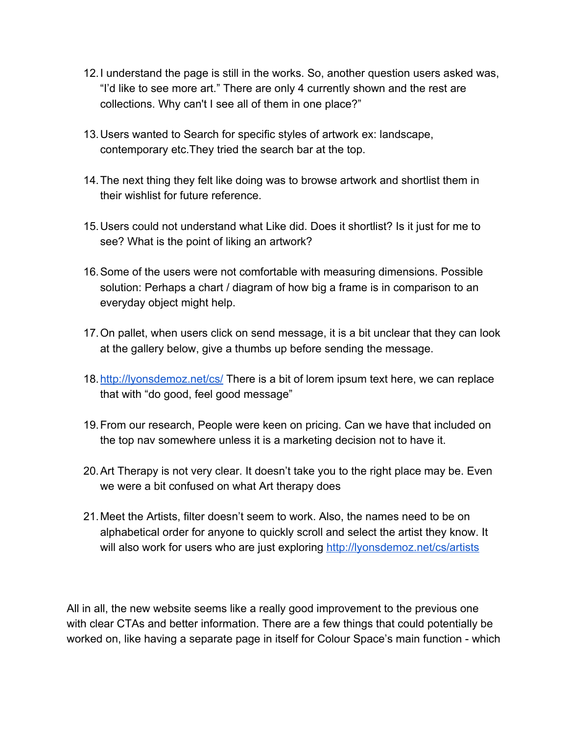- 12.I understand the page is still in the works. So, another question users asked was, "I'd like to see more art." There are only 4 currently shown and the rest are collections. Why can't I see all of them in one place?"
- 13.Users wanted to Search for specific styles of artwork ex: landscape, contemporary etc.They tried the search bar at the top.
- 14.The next thing they felt like doing was to browse artwork and shortlist them in their wishlist for future reference.
- 15.Users could not understand what Like did. Does it shortlist? Is it just for me to see? What is the point of liking an artwork?
- 16.Some of the users were not comfortable with measuring dimensions. Possible solution: Perhaps a chart / diagram of how big a frame is in comparison to an everyday object might help.
- 17.On pallet, when users click on send message, it is a bit unclear that they can look at the gallery below, give a thumbs up before sending the message.
- 18. <http://lyonsdemoz.net/cs/>There is a bit of lorem ipsum text here, we can replace that with "do good, feel good message"
- 19.From our research, People were keen on pricing. Can we have that included on the top nav somewhere unless it is a marketing decision not to have it.
- 20.Art Therapy is not very clear. It doesn't take you to the right place may be. Even we were a bit confused on what Art therapy does
- 21.Meet the Artists, filter doesn't seem to work. Also, the names need to be on alphabetical order for anyone to quickly scroll and select the artist they know. It will also work for users who are just exploring <http://lyonsdemoz.net/cs/artists>

All in all, the new website seems like a really good improvement to the previous one with clear CTAs and better information. There are a few things that could potentially be worked on, like having a separate page in itself for Colour Space's main function - which